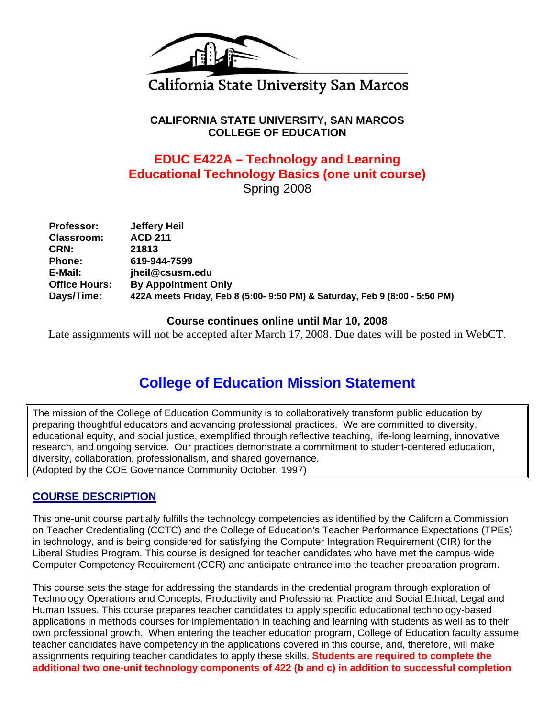

# California State University San Marcos

**CALIFORNIA STATE UNIVERSITY, SAN MARCOS COLLEGE OF EDUCATION** 

# **EDUC E422A – Technology and Learning Educational Technology Basics (one unit course)**  Spring 2008

| <b>Professor:</b>    | Jeffery Heil                                                                |
|----------------------|-----------------------------------------------------------------------------|
| <b>Classroom:</b>    | <b>ACD 211</b>                                                              |
| CRN:                 | 21813                                                                       |
| <b>Phone:</b>        | 619-944-7599                                                                |
| E-Mail:              | jheil@csusm.edu                                                             |
| <b>Office Hours:</b> | <b>By Appointment Only</b>                                                  |
| Days/Time:           | 422A meets Friday, Feb 8 (5:00- 9:50 PM) & Saturday, Feb 9 (8:00 - 5:50 PM) |

## **Course continues online until Mar 10, 2008**

Late assignments will not be accepted after March 17, 2008. Due dates will be posted in WebCT.

# **College of Education Mission Statement**

The mission of the College of Education Community is to collaboratively transform public education by preparing thoughtful educators and advancing professional practices. We are committed to diversity, educational equity, and social justice, exemplified through reflective teaching, life-long learning, innovative research, and ongoing service. Our practices demonstrate a commitment to student-centered education, diversity, collaboration, professionalism, and shared governance. (Adopted by the COE Governance Community October, 1997)

# **COURSE DESCRIPTION**

This one-unit course partially fulfills the technology competencies as identified by the California Commission on Teacher Credentialing (CCTC) and the College of Education's Teacher Performance Expectations (TPEs) in technology, and is being considered for satisfying the Computer Integration Requirement (CIR) for the Liberal Studies Program. This course is designed for teacher candidates who have met the campus-wide Computer Competency Requirement (CCR) and anticipate entrance into the teacher preparation program.

This course sets the stage for addressing the standards in the credential program through exploration of Technology Operations and Concepts, Productivity and Professional Practice and Social Ethical, Legal and Human Issues. This course prepares teacher candidates to apply specific educational technology-based applications in methods courses for implementation in teaching and learning with students as well as to their own professional growth. When entering the teacher education program, College of Education faculty assume teacher candidates have competency in the applications covered in this course, and, therefore, will make assignments requiring teacher candidates to apply these skills. **Students are required to complete the additional two one-unit technology components of 422 (b and c) in addition to successful completion**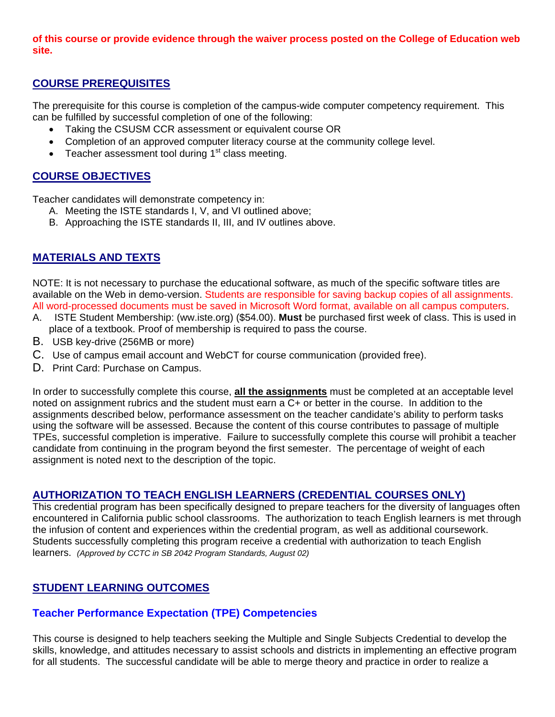#### **of this course or provide evidence through the waiver process posted on the College of Education web site.**

# **COURSE PREREQUISITES**

The prerequisite for this course is completion of the campus-wide computer competency requirement. This can be fulfilled by successful completion of one of the following:

- Taking the CSUSM CCR assessment or equivalent course OR
- Completion of an approved computer literacy course at the community college level.
- Teacher assessment tool during  $1<sup>st</sup>$  class meeting.

# **COURSE OBJECTIVES**

Teacher candidates will demonstrate competency in:

- A. Meeting the ISTE standards I, V, and VI outlined above;
- B. Approaching the ISTE standards II, III, and IV outlines above.

# **MATERIALS AND TEXTS**

NOTE: It is not necessary to purchase the educational software, as much of the specific software titles are available on the Web in demo-version. Students are responsible for saving backup copies of all assignments. All word-processed documents must be saved in Microsoft Word format, available on all campus computers.

- A. ISTE Student Membership: (ww.iste.org) (\$54.00). **Must** be purchased first week of class. This is used in place of a textbook. Proof of membership is required to pass the course.
- B. USB key-drive (256MB or more)
- C. Use of campus email account and WebCT for course communication (provided free).
- D. Print Card: Purchase on Campus.

In order to successfully complete this course, **all the assignments** must be completed at an acceptable level noted on assignment rubrics and the student must earn a C+ or better in the course. In addition to the assignments described below, performance assessment on the teacher candidate's ability to perform tasks using the software will be assessed. Because the content of this course contributes to passage of multiple TPEs, successful completion is imperative. Failure to successfully complete this course will prohibit a teacher candidate from continuing in the program beyond the first semester. The percentage of weight of each assignment is noted next to the description of the topic.

## **AUTHORIZATION TO TEACH ENGLISH LEARNERS (CREDENTIAL COURSES ONLY)**

This credential program has been specifically designed to prepare teachers for the diversity of languages often encountered in California public school classrooms. The authorization to teach English learners is met through the infusion of content and experiences within the credential program, as well as additional coursework. Students successfully completing this program receive a credential with authorization to teach English learners. *(Approved by CCTC in SB 2042 Program Standards, August 02)*

## **STUDENT LEARNING OUTCOMES**

## **Teacher Performance Expectation (TPE) Competencies**

This course is designed to help teachers seeking the Multiple and Single Subjects Credential to develop the skills, knowledge, and attitudes necessary to assist schools and districts in implementing an effective program for all students. The successful candidate will be able to merge theory and practice in order to realize a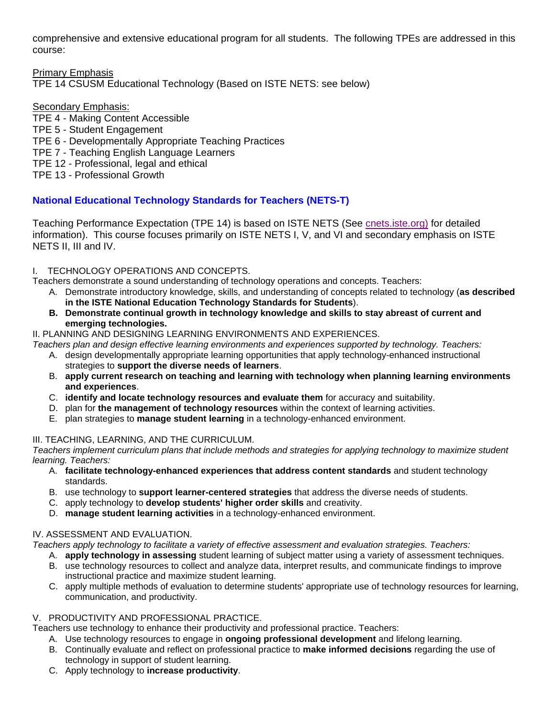comprehensive and extensive educational program for all students. The following TPEs are addressed in this course:

Primary Emphasis TPE 14 CSUSM Educational Technology (Based on ISTE NETS: see below)

#### Secondary Emphasis:

TPE 4 - Making Content Accessible

#### TPE 5 - Student Engagement

- TPE 6 Developmentally Appropriate Teaching Practices
- TPE 7 Teaching English Language Learners
- TPE 12 Professional, legal and ethical
- TPE 13 Professional Growth

## **National Educational Technology Standards for Teachers (NETS-T)**

Teaching Performance Expectation (TPE 14) is based on ISTE NETS (See *cnets.iste.org*) for detailed information). This course focuses primarily on ISTE NETS I, V, and VI and secondary emphasis on ISTE NETS II, III and IV.

#### I. TECHNOLOGY OPERATIONS AND CONCEPTS.

- Teachers demonstrate a sound understanding of technology operations and concepts. Teachers:
	- A. Demonstrate introductory knowledge, skills, and understanding of concepts related to technology (**as described in the ISTE National Education Technology Standards for Students**).
	- **B. Demonstrate continual growth in technology knowledge and skills to stay abreast of current and emerging technologies.**
- II. PLANNING AND DESIGNING LEARNING ENVIRONMENTS AND EXPERIENCES.

*Teachers plan and design effective learning environments and experiences supported by technology. Teachers:* 

- A. design developmentally appropriate learning opportunities that apply technology-enhanced instructional strategies to **support the diverse needs of learners**.
- B. **apply current research on teaching and learning with technology when planning learning environments and experiences**.
- C. **identify and locate technology resources and evaluate them** for accuracy and suitability.
- D. plan for **the management of technology resources** within the context of learning activities.
- E. plan strategies to **manage student learning** in a technology-enhanced environment.

#### III. TEACHING, LEARNING, AND THE CURRICULUM.

*Teachers implement curriculum plans that include methods and strategies for applying technology to maximize student learning. Teachers:* 

- A. **facilitate technology-enhanced experiences that address content standards** and student technology standards.
- B. use technology to **support learner-centered strategies** that address the diverse needs of students.
- C. apply technology to **develop students' higher order skills** and creativity.
- D. **manage student learning activities** in a technology-enhanced environment.

## IV. ASSESSMENT AND EVALUATION.

*Teachers apply technology to facilitate a variety of effective assessment and evaluation strategies. Teachers:* 

- A. **apply technology in assessing** student learning of subject matter using a variety of assessment techniques.
- B. use technology resources to collect and analyze data, interpret results, and communicate findings to improve instructional practice and maximize student learning.
- C. apply multiple methods of evaluation to determine students' appropriate use of technology resources for learning, communication, and productivity.

#### V. PRODUCTIVITY AND PROFESSIONAL PRACTICE.

Teachers use technology to enhance their productivity and professional practice. Teachers:

- A. Use technology resources to engage in **ongoing professional development** and lifelong learning.
- B. Continually evaluate and reflect on professional practice to **make informed decisions** regarding the use of technology in support of student learning.
- C. Apply technology to **increase productivity**.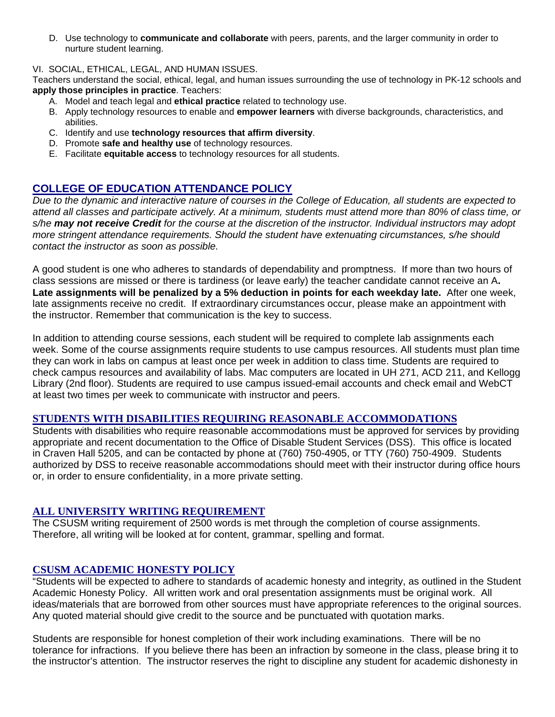D. Use technology to **communicate and collaborate** with peers, parents, and the larger community in order to nurture student learning.

#### VI. SOCIAL, ETHICAL, LEGAL, AND HUMAN ISSUES.

Teachers understand the social, ethical, legal, and human issues surrounding the use of technology in PK-12 schools and **apply those principles in practice**. Teachers:

- A. Model and teach legal and **ethical practice** related to technology use.
- B. Apply technology resources to enable and **empower learners** with diverse backgrounds, characteristics, and abilities.
- C. Identify and use **technology resources that affirm diversity**.
- D. Promote **safe and healthy use** of technology resources.
- E. Facilitate **equitable access** to technology resources for all students.

## **COLLEGE OF EDUCATION ATTENDANCE POLICY**

*Due to the dynamic and interactive nature of courses in the College of Education, all students are expected to attend all classes and participate actively. At a minimum, students must attend more than 80% of class time, or s/he may not receive Credit for the course at the discretion of the instructor. Individual instructors may adopt more stringent attendance requirements. Should the student have extenuating circumstances, s/he should contact the instructor as soon as possible.*

A good student is one who adheres to standards of dependability and promptness. If more than two hours of class sessions are missed or there is tardiness (or leave early) the teacher candidate cannot receive an A**. Late assignments will be penalized by a 5% deduction in points for each weekday late.** After one week, late assignments receive no credit. If extraordinary circumstances occur, please make an appointment with the instructor. Remember that communication is the key to success.

In addition to attending course sessions, each student will be required to complete lab assignments each week. Some of the course assignments require students to use campus resources. All students must plan time they can work in labs on campus at least once per week in addition to class time. Students are required to check campus resources and availability of labs. Mac computers are located in UH 271, ACD 211, and Kellogg Library (2nd floor). Students are required to use campus issued-email accounts and check email and WebCT at least two times per week to communicate with instructor and peers.

#### **STUDENTS WITH DISABILITIES REQUIRING REASONABLE ACCOMMODATIONS**

Students with disabilities who require reasonable accommodations must be approved for services by providing appropriate and recent documentation to the Office of Disable Student Services (DSS). This office is located in Craven Hall 5205, and can be contacted by phone at (760) 750-4905, or TTY (760) 750-4909. Students authorized by DSS to receive reasonable accommodations should meet with their instructor during office hours or, in order to ensure confidentiality, in a more private setting.

#### **ALL UNIVERSITY WRITING REQUIREMENT**

The CSUSM writing requirement of 2500 words is met through the completion of course assignments. Therefore, all writing will be looked at for content, grammar, spelling and format.

#### **CSUSM ACADEMIC HONESTY POLICY**

"Students will be expected to adhere to standards of academic honesty and integrity, as outlined in the Student Academic Honesty Policy. All written work and oral presentation assignments must be original work. All ideas/materials that are borrowed from other sources must have appropriate references to the original sources. Any quoted material should give credit to the source and be punctuated with quotation marks.

Students are responsible for honest completion of their work including examinations. There will be no tolerance for infractions. If you believe there has been an infraction by someone in the class, please bring it to the instructor's attention. The instructor reserves the right to discipline any student for academic dishonesty in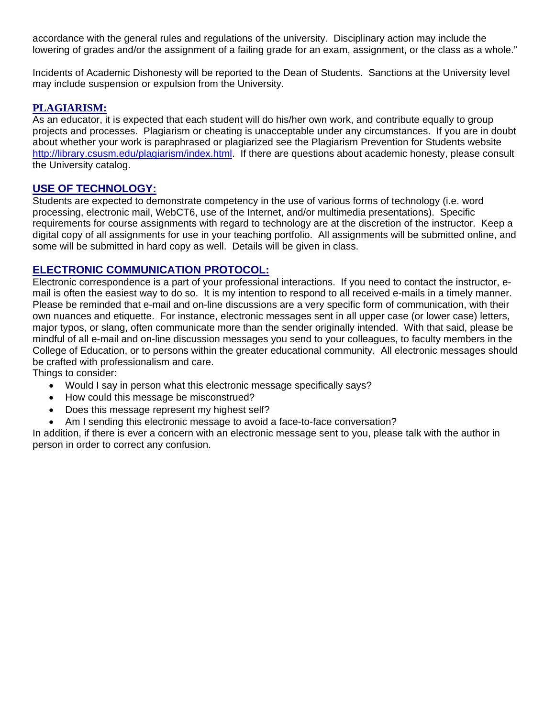accordance with the general rules and regulations of the university. Disciplinary action may include the lowering of grades and/or the assignment of a failing grade for an exam, assignment, or the class as a whole."

Incidents of Academic Dishonesty will be reported to the Dean of Students. Sanctions at the University level may include suspension or expulsion from the University.

#### **PLAGIARISM:**

As an educator, it is expected that each student will do his/her own work, and contribute equally to group projects and processes. Plagiarism or cheating is unacceptable under any circumstances. If you are in doubt about whether your work is paraphrased or plagiarized see the Plagiarism Prevention for Students website http://library.csusm.edu/plagiarism/index.html. If there are questions about academic honesty, please consult the University catalog.

#### **USE OF TECHNOLOGY:**

Students are expected to demonstrate competency in the use of various forms of technology (i.e. word processing, electronic mail, WebCT6, use of the Internet, and/or multimedia presentations). Specific requirements for course assignments with regard to technology are at the discretion of the instructor. Keep a digital copy of all assignments for use in your teaching portfolio. All assignments will be submitted online, and some will be submitted in hard copy as well. Details will be given in class.

#### **ELECTRONIC COMMUNICATION PROTOCOL:**

Electronic correspondence is a part of your professional interactions. If you need to contact the instructor, email is often the easiest way to do so. It is my intention to respond to all received e-mails in a timely manner. Please be reminded that e-mail and on-line discussions are a very specific form of communication, with their own nuances and etiquette. For instance, electronic messages sent in all upper case (or lower case) letters, major typos, or slang, often communicate more than the sender originally intended. With that said, please be mindful of all e-mail and on-line discussion messages you send to your colleagues, to faculty members in the College of Education, or to persons within the greater educational community. All electronic messages should be crafted with professionalism and care.

Things to consider:

- Would I say in person what this electronic message specifically says?
- How could this message be misconstrued?
- Does this message represent my highest self?
- Am I sending this electronic message to avoid a face-to-face conversation?

In addition, if there is ever a concern with an electronic message sent to you, please talk with the author in person in order to correct any confusion.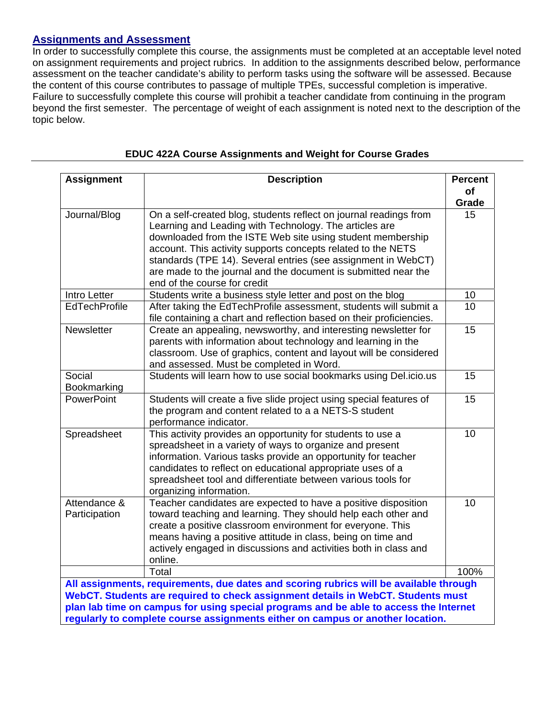# **Assignments and Assessment**

In order to successfully complete this course, the assignments must be completed at an acceptable level noted on assignment requirements and project rubrics. In addition to the assignments described below, performance assessment on the teacher candidate's ability to perform tasks using the software will be assessed. Because the content of this course contributes to passage of multiple TPEs, successful completion is imperative. Failure to successfully complete this course will prohibit a teacher candidate from continuing in the program beyond the first semester. The percentage of weight of each assignment is noted next to the description of the topic below.

| <b>Assignment</b>                                                                                                                                                          | <b>Description</b>                                                                                                          | <b>Percent</b> |  |
|----------------------------------------------------------------------------------------------------------------------------------------------------------------------------|-----------------------------------------------------------------------------------------------------------------------------|----------------|--|
|                                                                                                                                                                            |                                                                                                                             | of             |  |
| Journal/Blog                                                                                                                                                               |                                                                                                                             | Grade<br>15    |  |
|                                                                                                                                                                            | On a self-created blog, students reflect on journal readings from<br>Learning and Leading with Technology. The articles are |                |  |
|                                                                                                                                                                            | downloaded from the ISTE Web site using student membership                                                                  |                |  |
|                                                                                                                                                                            | account. This activity supports concepts related to the NETS                                                                |                |  |
|                                                                                                                                                                            | standards (TPE 14). Several entries (see assignment in WebCT)                                                               |                |  |
|                                                                                                                                                                            | are made to the journal and the document is submitted near the                                                              |                |  |
|                                                                                                                                                                            | end of the course for credit                                                                                                |                |  |
| Intro Letter                                                                                                                                                               | Students write a business style letter and post on the blog                                                                 | 10             |  |
| <b>EdTechProfile</b>                                                                                                                                                       | After taking the EdTechProfile assessment, students will submit a                                                           | 10             |  |
|                                                                                                                                                                            | file containing a chart and reflection based on their proficiencies.                                                        |                |  |
| Newsletter                                                                                                                                                                 | Create an appealing, newsworthy, and interesting newsletter for                                                             | 15             |  |
|                                                                                                                                                                            | parents with information about technology and learning in the                                                               |                |  |
|                                                                                                                                                                            | classroom. Use of graphics, content and layout will be considered                                                           |                |  |
|                                                                                                                                                                            | and assessed. Must be completed in Word.                                                                                    |                |  |
| Social                                                                                                                                                                     | Students will learn how to use social bookmarks using Del.icio.us                                                           | 15             |  |
| Bookmarking                                                                                                                                                                |                                                                                                                             |                |  |
| PowerPoint                                                                                                                                                                 | Students will create a five slide project using special features of                                                         | 15             |  |
|                                                                                                                                                                            | the program and content related to a a NETS-S student<br>performance indicator.                                             |                |  |
| Spreadsheet                                                                                                                                                                | This activity provides an opportunity for students to use a                                                                 | 10             |  |
|                                                                                                                                                                            | spreadsheet in a variety of ways to organize and present                                                                    |                |  |
|                                                                                                                                                                            | information. Various tasks provide an opportunity for teacher                                                               |                |  |
|                                                                                                                                                                            | candidates to reflect on educational appropriate uses of a                                                                  |                |  |
|                                                                                                                                                                            | spreadsheet tool and differentiate between various tools for                                                                |                |  |
|                                                                                                                                                                            | organizing information.                                                                                                     |                |  |
| Attendance &                                                                                                                                                               | Teacher candidates are expected to have a positive disposition                                                              | 10             |  |
| Participation                                                                                                                                                              | toward teaching and learning. They should help each other and                                                               |                |  |
|                                                                                                                                                                            | create a positive classroom environment for everyone. This                                                                  |                |  |
|                                                                                                                                                                            | means having a positive attitude in class, being on time and                                                                |                |  |
|                                                                                                                                                                            | actively engaged in discussions and activities both in class and                                                            |                |  |
|                                                                                                                                                                            | online.                                                                                                                     |                |  |
|                                                                                                                                                                            | Total                                                                                                                       | 100%           |  |
| All assignments, requirements, due dates and scoring rubrics will be available through<br>WebCT. Students are required to check assignment details in WebCT. Students must |                                                                                                                             |                |  |
| plan lab time on campus for using special programs and be able to access the Internet                                                                                      |                                                                                                                             |                |  |
| regularly to complete course assignments either on campus or another location.                                                                                             |                                                                                                                             |                |  |

#### **EDUC 422A Course Assignments and Weight for Course Grades**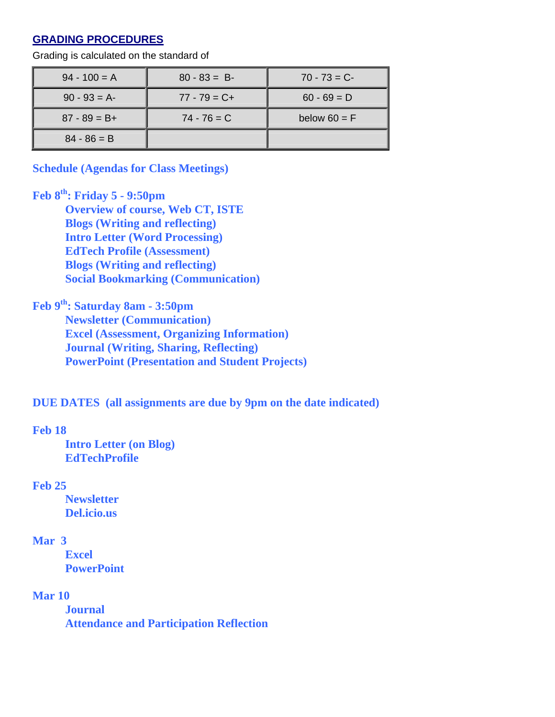# **GRADING PROCEDURES**

| $94 - 100 = A$  | $80 - 83 = B$   | $70 - 73 = C$  |
|-----------------|-----------------|----------------|
| $90 - 93 = A$   | $77 - 79 = C +$ | $60 - 69 = D$  |
| $87 - 89 = B +$ | $74 - 76 = C$   | below $60 = F$ |
| $84 - 86 = B$   |                 |                |

Grading is calculated on the standard of

**Schedule (Agendas for Class Meetings)** 

# **Feb 8th: Friday 5 - 9:50pm**

**Overview of course, Web CT, ISTE Blogs (Writing and reflecting) Intro Letter (Word Processing) EdTech Profile (Assessment) Blogs (Writing and reflecting) Social Bookmarking (Communication)** 

# **Feb 9th: Saturday 8am - 3:50pm**

**Newsletter (Communication) Excel (Assessment, Organizing Information) Journal (Writing, Sharing, Reflecting) PowerPoint (Presentation and Student Projects)** 

# **DUE DATES (all assignments are due by 9pm on the date indicated)**

## **Feb 18**

**Intro Letter (on Blog) EdTechProfile** 

## **Feb 25**

**Newsletter Del.icio.us** 

## **Mar 3**

**Excel PowerPoint** 

## **Mar 10**

**Journal Attendance and Participation Reflection**